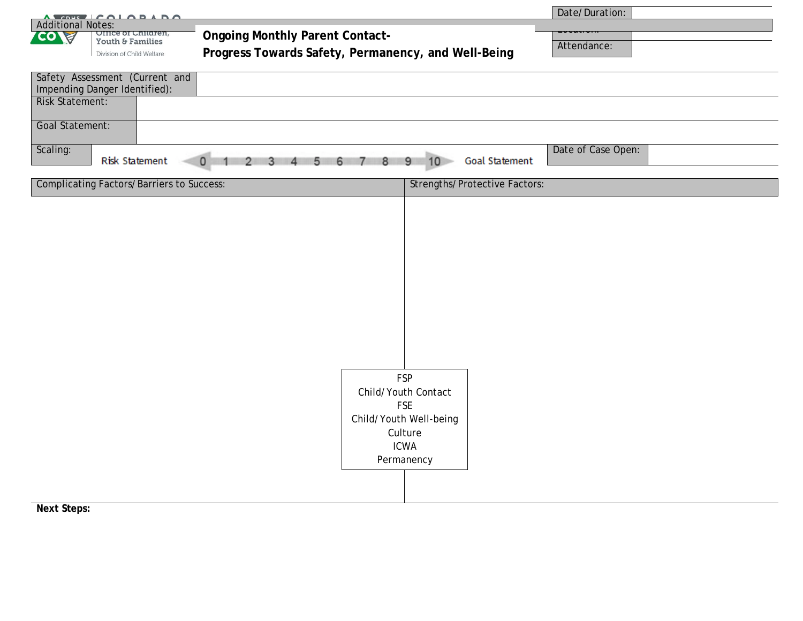|                                                                                                                          |                                                                                                                                                                              |  |            |                                      | Date/Duration:     |
|--------------------------------------------------------------------------------------------------------------------------|------------------------------------------------------------------------------------------------------------------------------------------------------------------------------|--|------------|--------------------------------------|--------------------|
| A CONC CALABARA<br><b>Additional Notes:</b>                                                                              |                                                                                                                                                                              |  |            |                                      |                    |
| CO)<br>ਸ਼                                                                                                                | <b>Ongoing Monthly Parent Contact-</b><br><b>Office of Children,</b><br>Youth & Families<br>Progress Towards Safety, Permanency, and Well-Being<br>Division of Child Welfare |  |            |                                      |                    |
|                                                                                                                          |                                                                                                                                                                              |  |            |                                      | Attendance:        |
|                                                                                                                          |                                                                                                                                                                              |  |            |                                      |                    |
| Safety Assessment (Current and                                                                                           |                                                                                                                                                                              |  |            |                                      |                    |
|                                                                                                                          | Impending Danger Identified):                                                                                                                                                |  |            |                                      |                    |
| <b>Risk Statement:</b>                                                                                                   |                                                                                                                                                                              |  |            |                                      |                    |
|                                                                                                                          |                                                                                                                                                                              |  |            |                                      |                    |
| Goal Statement:                                                                                                          |                                                                                                                                                                              |  |            |                                      |                    |
|                                                                                                                          |                                                                                                                                                                              |  |            |                                      |                    |
| Scaling:                                                                                                                 |                                                                                                                                                                              |  |            |                                      | Date of Case Open: |
| 10<br><b>Goal Statement</b><br><b>Risk Statement</b><br>8<br>9<br>$\circ$<br>$5 -$<br>6<br>3<br>4<br>7 <sup>2</sup><br>2 |                                                                                                                                                                              |  |            |                                      |                    |
| <b>Complicating Factors/Barriers to Success:</b>                                                                         |                                                                                                                                                                              |  |            | <b>Strengths/Protective Factors:</b> |                    |
|                                                                                                                          |                                                                                                                                                                              |  |            |                                      |                    |
|                                                                                                                          |                                                                                                                                                                              |  |            |                                      |                    |
|                                                                                                                          |                                                                                                                                                                              |  |            |                                      |                    |
|                                                                                                                          |                                                                                                                                                                              |  |            |                                      |                    |
|                                                                                                                          |                                                                                                                                                                              |  |            |                                      |                    |
|                                                                                                                          |                                                                                                                                                                              |  |            |                                      |                    |
|                                                                                                                          |                                                                                                                                                                              |  |            |                                      |                    |
|                                                                                                                          |                                                                                                                                                                              |  |            |                                      |                    |
|                                                                                                                          |                                                                                                                                                                              |  |            |                                      |                    |
|                                                                                                                          |                                                                                                                                                                              |  |            |                                      |                    |
|                                                                                                                          |                                                                                                                                                                              |  |            |                                      |                    |
|                                                                                                                          |                                                                                                                                                                              |  |            |                                      |                    |
|                                                                                                                          |                                                                                                                                                                              |  |            |                                      |                    |
|                                                                                                                          |                                                                                                                                                                              |  |            |                                      |                    |
|                                                                                                                          |                                                                                                                                                                              |  |            | <b>FSP</b>                           |                    |
| Child/Youth Contact                                                                                                      |                                                                                                                                                                              |  |            |                                      |                    |
| <b>FSE</b>                                                                                                               |                                                                                                                                                                              |  |            |                                      |                    |
|                                                                                                                          |                                                                                                                                                                              |  |            | Child/Youth Well-being               |                    |
|                                                                                                                          |                                                                                                                                                                              |  |            | Culture                              |                    |
|                                                                                                                          |                                                                                                                                                                              |  |            | <b>ICWA</b>                          |                    |
|                                                                                                                          |                                                                                                                                                                              |  | Permanency |                                      |                    |
|                                                                                                                          |                                                                                                                                                                              |  |            |                                      |                    |
|                                                                                                                          |                                                                                                                                                                              |  |            |                                      |                    |
|                                                                                                                          |                                                                                                                                                                              |  |            |                                      |                    |
| $N$ <sub>a</sub> $+$ $C$ <sup><math>+</math></sup> ano $-$                                                               |                                                                                                                                                                              |  |            |                                      |                    |

**Next Steps:**